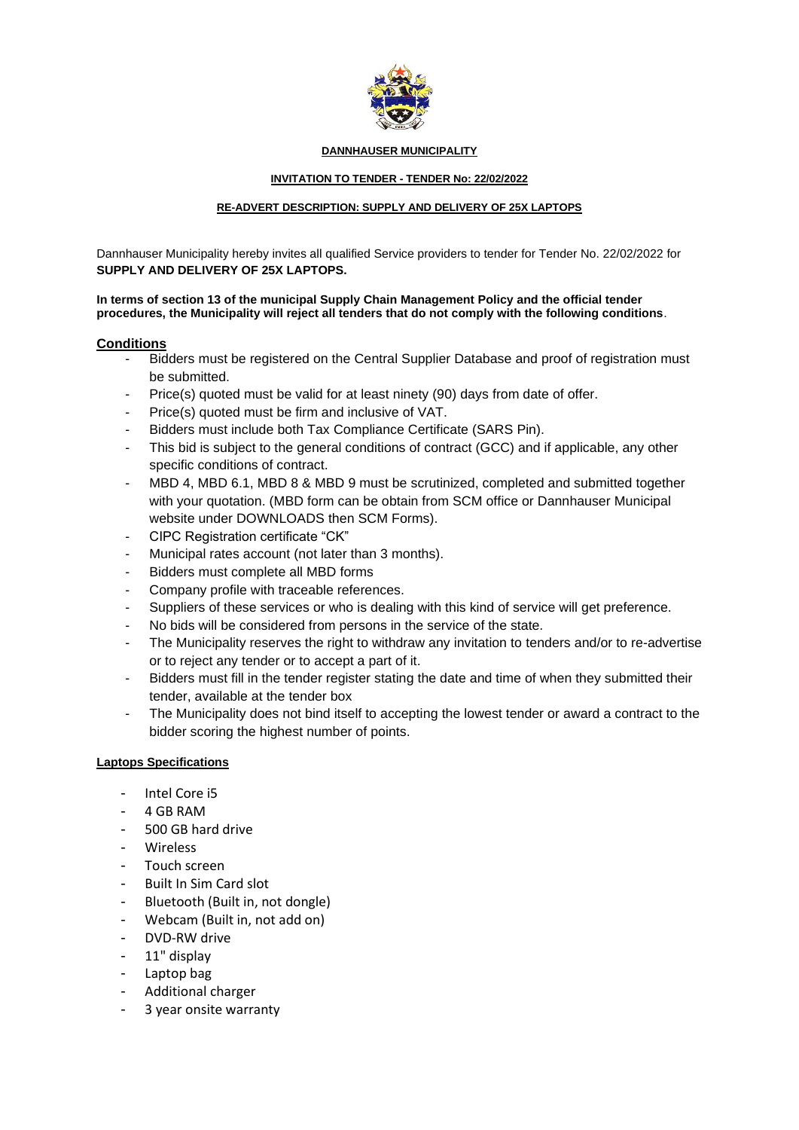

#### **DANNHAUSER MUNICIPALITY**

## **INVITATION TO TENDER - TENDER No: 22/02/2022**

## **RE-ADVERT DESCRIPTION: SUPPLY AND DELIVERY OF 25X LAPTOPS**

Dannhauser Municipality hereby invites all qualified Service providers to tender for Tender No. 22/02/2022 for **SUPPLY AND DELIVERY OF 25X LAPTOPS.**

**In terms of section 13 of the municipal Supply Chain Management Policy and the official tender procedures, the Municipality will reject all tenders that do not comply with the following conditions**.

# **Conditions**

- Bidders must be registered on the Central Supplier Database and proof of registration must be submitted.
- Price(s) quoted must be valid for at least ninety (90) days from date of offer.
- Price(s) quoted must be firm and inclusive of VAT.
- Bidders must include both Tax Compliance Certificate (SARS Pin).
- This bid is subject to the general conditions of contract (GCC) and if applicable, any other specific conditions of contract.
- MBD 4, MBD 6.1, MBD 8 & MBD 9 must be scrutinized, completed and submitted together with your quotation. (MBD form can be obtain from SCM office or Dannhauser Municipal website under DOWNLOADS then SCM Forms).
- CIPC Registration certificate "CK"
- Municipal rates account (not later than 3 months).
- Bidders must complete all MBD forms
- Company profile with traceable references.
- Suppliers of these services or who is dealing with this kind of service will get preference.
- No bids will be considered from persons in the service of the state.
- The Municipality reserves the right to withdraw any invitation to tenders and/or to re-advertise or to reject any tender or to accept a part of it.
- Bidders must fill in the tender register stating the date and time of when they submitted their tender, available at the tender box
- The Municipality does not bind itself to accepting the lowest tender or award a contract to the bidder scoring the highest number of points.

# **Laptops Specifications**

- Intel Core i5
- 4 GB RAM
- 500 GB hard drive
- Wireless
- Touch screen
- Built In Sim Card slot
- Bluetooth (Built in, not dongle)
- Webcam (Built in, not add on)
- DVD-RW drive
- 11" display
- Laptop bag
- Additional charger
- 3 year onsite warranty